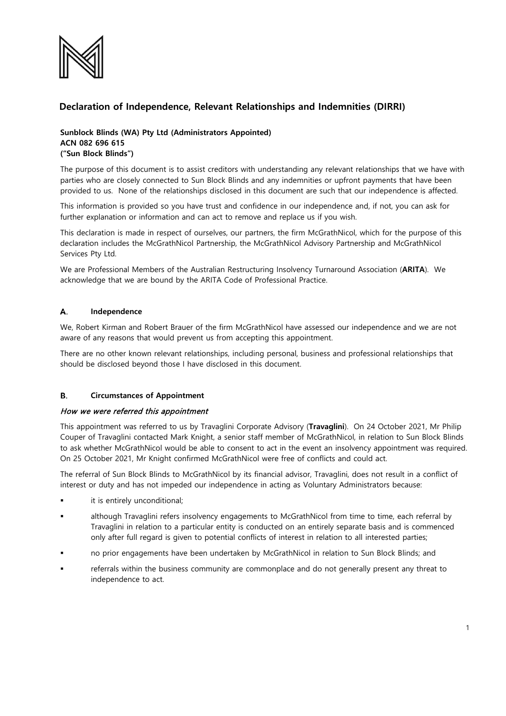

# **Declaration of Independence, Relevant Relationships and Indemnities (DIRRI)**

## **Sunblock Blinds (WA) Pty Ltd (Administrators Appointed) ACN 082 696 615 ("Sun Block Blinds")**

The purpose of this document is to assist creditors with understanding any relevant relationships that we have with parties who are closely connected to Sun Block Blinds and any indemnities or upfront payments that have been provided to us. None of the relationships disclosed in this document are such that our independence is affected.

This information is provided so you have trust and confidence in our independence and, if not, you can ask for further explanation or information and can act to remove and replace us if you wish.

This declaration is made in respect of ourselves, our partners, the firm McGrathNicol, which for the purpose of this declaration includes the McGrathNicol Partnership, the McGrathNicol Advisory Partnership and McGrathNicol Services Pty Ltd.

We are Professional Members of the Australian Restructuring Insolvency Turnaround Association (**ARITA**). We acknowledge that we are bound by the ARITA Code of Professional Practice.

#### А. **Independence**

We, Robert Kirman and Robert Brauer of the firm McGrathNicol have assessed our independence and we are not aware of any reasons that would prevent us from accepting this appointment.

There are no other known relevant relationships, including personal, business and professional relationships that should be disclosed beyond those I have disclosed in this document.

#### В. **Circumstances of Appointment**

### How we were referred this appointment

This appointment was referred to us by Travaglini Corporate Advisory (**Travaglini**). On 24 October 2021, Mr Philip Couper of Travaglini contacted Mark Knight, a senior staff member of McGrathNicol, in relation to Sun Block Blinds to ask whether McGrathNicol would be able to consent to act in the event an insolvency appointment was required. On 25 October 2021, Mr Knight confirmed McGrathNicol were free of conflicts and could act.

The referral of Sun Block Blinds to McGrathNicol by its financial advisor, Travaglini, does not result in a conflict of interest or duty and has not impeded our independence in acting as Voluntary Administrators because:

- it is entirely unconditional;
- although Travaglini refers insolvency engagements to McGrathNicol from time to time, each referral by Travaglini in relation to a particular entity is conducted on an entirely separate basis and is commenced only after full regard is given to potential conflicts of interest in relation to all interested parties;
- no prior engagements have been undertaken by McGrathNicol in relation to Sun Block Blinds; and
- referrals within the business community are commonplace and do not generally present any threat to independence to act.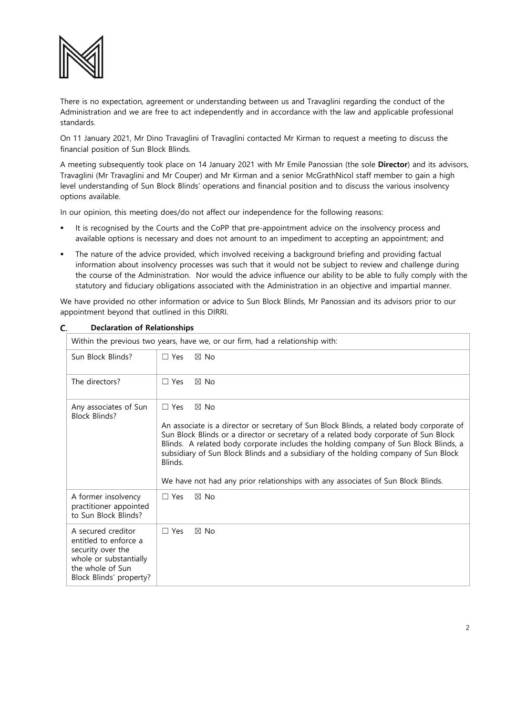

There is no expectation, agreement or understanding between us and Travaglini regarding the conduct of the Administration and we are free to act independently and in accordance with the law and applicable professional standards.

On 11 January 2021, Mr Dino Travaglini of Travaglini contacted Mr Kirman to request a meeting to discuss the financial position of Sun Block Blinds.

A meeting subsequently took place on 14 January 2021 with Mr Emile Panossian (the sole **Director**) and its advisors, Travaglini (Mr Travaglini and Mr Couper) and Mr Kirman and a senior McGrathNicol staff member to gain a high level understanding of Sun Block Blinds' operations and financial position and to discuss the various insolvency options available.

In our opinion, this meeting does/do not affect our independence for the following reasons:

- It is recognised by the Courts and the CoPP that pre-appointment advice on the insolvency process and available options is necessary and does not amount to an impediment to accepting an appointment; and
- The nature of the advice provided, which involved receiving a background briefing and providing factual information about insolvency processes was such that it would not be subject to review and challenge during the course of the Administration. Nor would the advice influence our ability to be able to fully comply with the statutory and fiduciary obligations associated with the Administration in an objective and impartial manner.

We have provided no other information or advice to Sun Block Blinds, Mr Panossian and its advisors prior to our appointment beyond that outlined in this DIRRI.

| Within the previous two years, have we, or our firm, had a relationship with:                                                             |                                                                                                                                                                                                                                                                                                                                                                                                                                                                                                |
|-------------------------------------------------------------------------------------------------------------------------------------------|------------------------------------------------------------------------------------------------------------------------------------------------------------------------------------------------------------------------------------------------------------------------------------------------------------------------------------------------------------------------------------------------------------------------------------------------------------------------------------------------|
| Sun Block Blinds?                                                                                                                         | $\Box$ Yes<br>$\boxtimes$ No                                                                                                                                                                                                                                                                                                                                                                                                                                                                   |
| The directors?                                                                                                                            | $\boxtimes$ No<br>$\Box$ Yes                                                                                                                                                                                                                                                                                                                                                                                                                                                                   |
| Any associates of Sun<br>Block Blinds?                                                                                                    | $\Box$ Yes<br>$\boxtimes$ No<br>An associate is a director or secretary of Sun Block Blinds, a related body corporate of<br>Sun Block Blinds or a director or secretary of a related body corporate of Sun Block<br>Blinds. A related body corporate includes the holding company of Sun Block Blinds, a<br>subsidiary of Sun Block Blinds and a subsidiary of the holding company of Sun Block<br>Blinds.<br>We have not had any prior relationships with any associates of Sun Block Blinds. |
| A former insolvency<br>practitioner appointed<br>to Sun Block Blinds?                                                                     | $\Box$ Yes<br>$\boxtimes$ No                                                                                                                                                                                                                                                                                                                                                                                                                                                                   |
| A secured creditor<br>entitled to enforce a<br>security over the<br>whole or substantially<br>the whole of Sun<br>Block Blinds' property? | $\Box$ Yes<br>$\boxtimes$ No                                                                                                                                                                                                                                                                                                                                                                                                                                                                   |

**Declaration of Relationships** C.